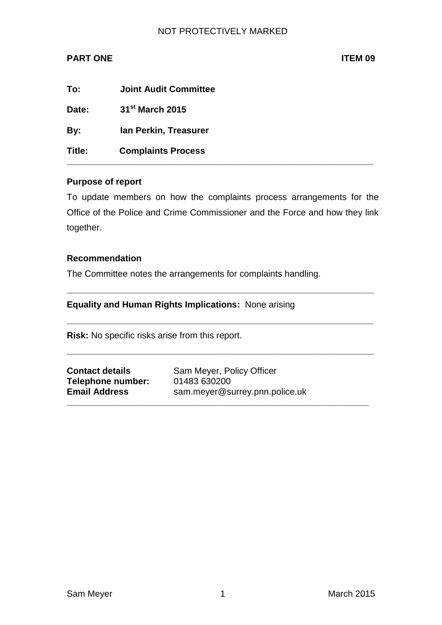### NOT PROTECTIVELY MARKED

# **PART ONE ITEM 09**

| To:    | <b>Joint Audit Committee</b> |
|--------|------------------------------|
| Date:  | 31 <sup>st</sup> March 2015  |
| By:    | Ian Perkin, Treasurer        |
| Title: | <b>Complaints Process</b>    |

#### **Purpose of report**

To update members on how the complaints process arrangements for the Office of the Police and Crime Commissioner and the Force and how they link together.

**\_\_\_\_\_\_\_\_\_\_\_\_\_\_\_\_\_\_\_\_\_\_\_\_\_\_\_\_\_\_\_\_\_\_\_\_\_\_\_\_\_\_\_\_\_\_\_\_\_\_\_\_\_\_\_\_\_\_\_\_\_\_**

**\_\_\_\_\_\_\_\_\_\_\_\_\_\_\_\_\_\_\_\_\_\_\_\_\_\_\_\_\_\_\_\_\_\_\_\_\_\_\_\_\_\_\_\_\_\_\_\_\_\_\_\_\_\_\_\_\_\_\_\_\_\_**

**\_\_\_\_\_\_\_\_\_\_\_\_\_\_\_\_\_\_\_\_\_\_\_\_\_\_\_\_\_\_\_\_\_\_\_\_\_\_\_\_\_\_\_\_\_\_\_\_\_\_\_\_\_\_\_\_\_\_\_\_\_\_**

**\_\_\_\_\_\_\_\_\_\_\_\_\_\_\_\_\_\_\_\_\_\_\_\_\_\_\_\_\_\_\_\_\_\_\_\_\_\_\_\_\_\_\_\_\_\_\_\_\_\_\_\_\_\_\_\_\_\_\_\_\_**

#### **Recommendation**

The Committee notes the arrangements for complaints handling.

## **Equality and Human Rights Implications:** None arising

**Risk:** No specific risks arise from this report.

| <b>Contact details</b> |  |
|------------------------|--|
| Telephone number:      |  |
| <b>Email Address</b>   |  |

Sam Meyer, Policy Officer **Telephone number:** 01483 630200 **Email Address** sam.meyer@surrey.pnn.police.uk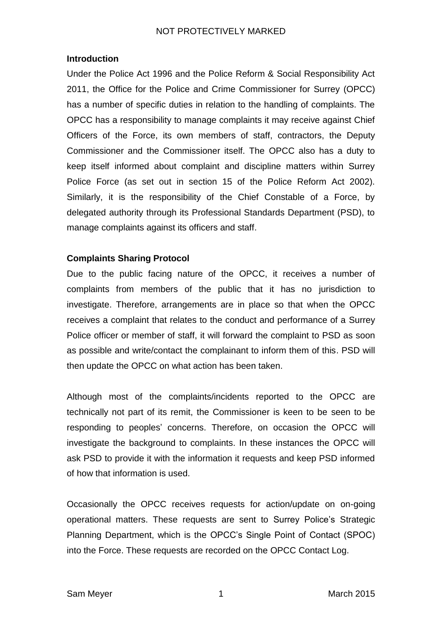## **Introduction**

Under the Police Act 1996 and the Police Reform & Social Responsibility Act 2011, the Office for the Police and Crime Commissioner for Surrey (OPCC) has a number of specific duties in relation to the handling of complaints. The OPCC has a responsibility to manage complaints it may receive against Chief Officers of the Force, its own members of staff, contractors, the Deputy Commissioner and the Commissioner itself. The OPCC also has a duty to keep itself informed about complaint and discipline matters within Surrey Police Force (as set out in section 15 of the Police Reform Act 2002). Similarly, it is the responsibility of the Chief Constable of a Force, by delegated authority through its Professional Standards Department (PSD), to manage complaints against its officers and staff.

## **Complaints Sharing Protocol**

Due to the public facing nature of the OPCC, it receives a number of complaints from members of the public that it has no jurisdiction to investigate. Therefore, arrangements are in place so that when the OPCC receives a complaint that relates to the conduct and performance of a Surrey Police officer or member of staff, it will forward the complaint to PSD as soon as possible and write/contact the complainant to inform them of this. PSD will then update the OPCC on what action has been taken.

Although most of the complaints/incidents reported to the OPCC are technically not part of its remit, the Commissioner is keen to be seen to be responding to peoples' concerns. Therefore, on occasion the OPCC will investigate the background to complaints. In these instances the OPCC will ask PSD to provide it with the information it requests and keep PSD informed of how that information is used.

Occasionally the OPCC receives requests for action/update on on-going operational matters. These requests are sent to Surrey Police's Strategic Planning Department, which is the OPCC's Single Point of Contact (SPOC) into the Force. These requests are recorded on the OPCC Contact Log.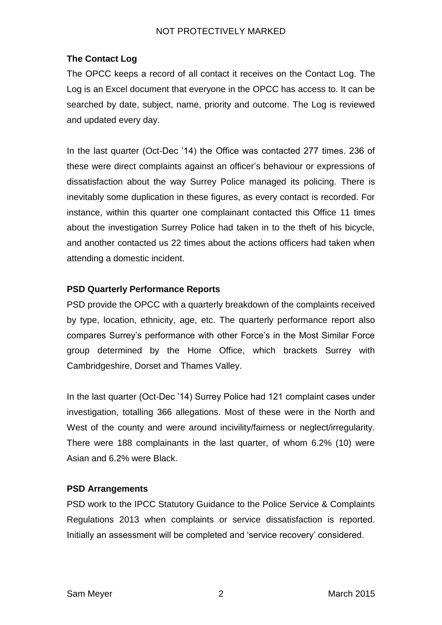## NOT PROTECTIVELY MARKED

## **The Contact Log**

The OPCC keeps a record of all contact it receives on the Contact Log. The Log is an Excel document that everyone in the OPCC has access to. It can be searched by date, subject, name, priority and outcome. The Log is reviewed and updated every day.

In the last quarter (Oct-Dec '14) the Office was contacted 277 times. 236 of these were direct complaints against an officer's behaviour or expressions of dissatisfaction about the way Surrey Police managed its policing. There is inevitably some duplication in these figures, as every contact is recorded. For instance, within this quarter one complainant contacted this Office 11 times about the investigation Surrey Police had taken in to the theft of his bicycle, and another contacted us 22 times about the actions officers had taken when attending a domestic incident.

#### **PSD Quarterly Performance Reports**

PSD provide the OPCC with a quarterly breakdown of the complaints received by type, location, ethnicity, age, etc. The quarterly performance report also compares Surrey's performance with other Force's in the Most Similar Force group determined by the Home Office, which brackets Surrey with Cambridgeshire, Dorset and Thames Valley.

In the last quarter (Oct-Dec '14) Surrey Police had 121 complaint cases under investigation, totalling 366 allegations. Most of these were in the North and West of the county and were around incivility/fairness or neglect/irregularity. There were 188 complainants in the last quarter, of whom 6.2% (10) were Asian and 6.2% were Black.

#### **PSD Arrangements**

PSD work to the IPCC Statutory Guidance to the Police Service & Complaints Regulations 2013 when complaints or service dissatisfaction is reported. Initially an assessment will be completed and 'service recovery' considered.